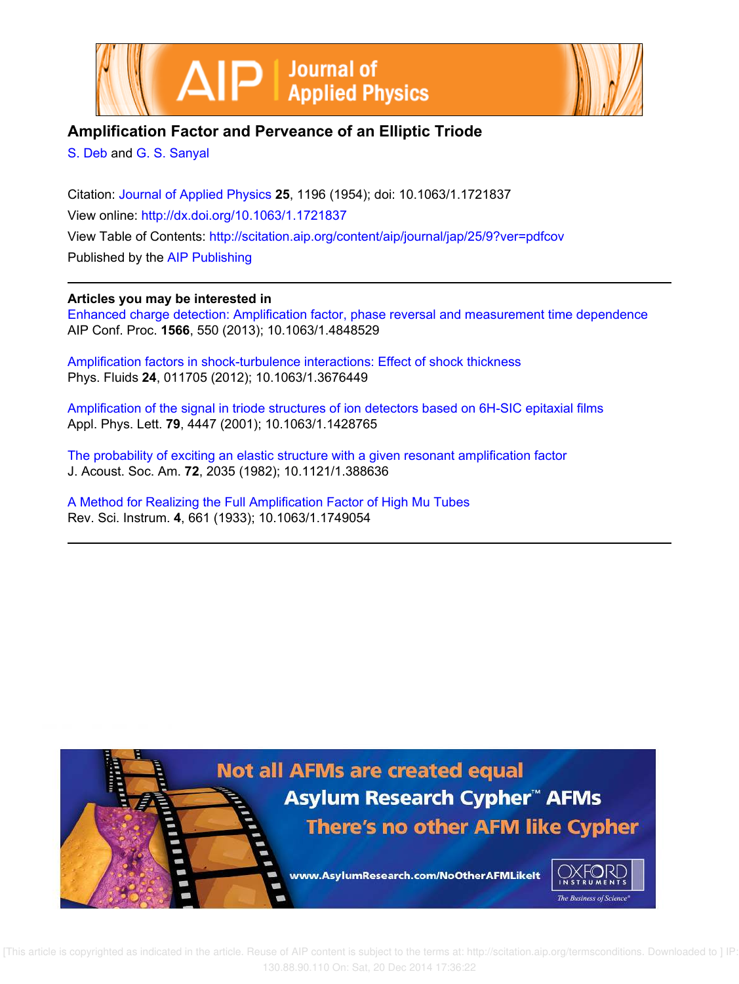



# **Amplification Factor and Perveance of an Elliptic Triode**

S. Deb and G. S. Sanyal

Citation: Journal of Applied Physics **25**, 1196 (1954); doi: 10.1063/1.1721837 View online: http://dx.doi.org/10.1063/1.1721837 View Table of Contents: http://scitation.aip.org/content/aip/journal/jap/25/9?ver=pdfcov Published by the AIP Publishing

# **Articles you may be interested in**

Enhanced charge detection: Amplification factor, phase reversal and measurement time dependence AIP Conf. Proc. **1566**, 550 (2013); 10.1063/1.4848529

Amplification factors in shock-turbulence interactions: Effect of shock thickness Phys. Fluids **24**, 011705 (2012); 10.1063/1.3676449

Amplification of the signal in triode structures of ion detectors based on 6H-SIC epitaxial films Appl. Phys. Lett. **79**, 4447 (2001); 10.1063/1.1428765

The probability of exciting an elastic structure with a given resonant amplification factor J. Acoust. Soc. Am. **72**, 2035 (1982); 10.1121/1.388636

A Method for Realizing the Full Amplification Factor of High Mu Tubes Rev. Sci. Instrum. **4**, 661 (1933); 10.1063/1.1749054



 [This article is copyrighted as indicated in the article. Reuse of AIP content is subject to the terms at: http://scitation.aip.org/termsconditions. Downloaded to ] IP: 130.88.90.110 On: Sat, 20 Dec 2014 17:36:22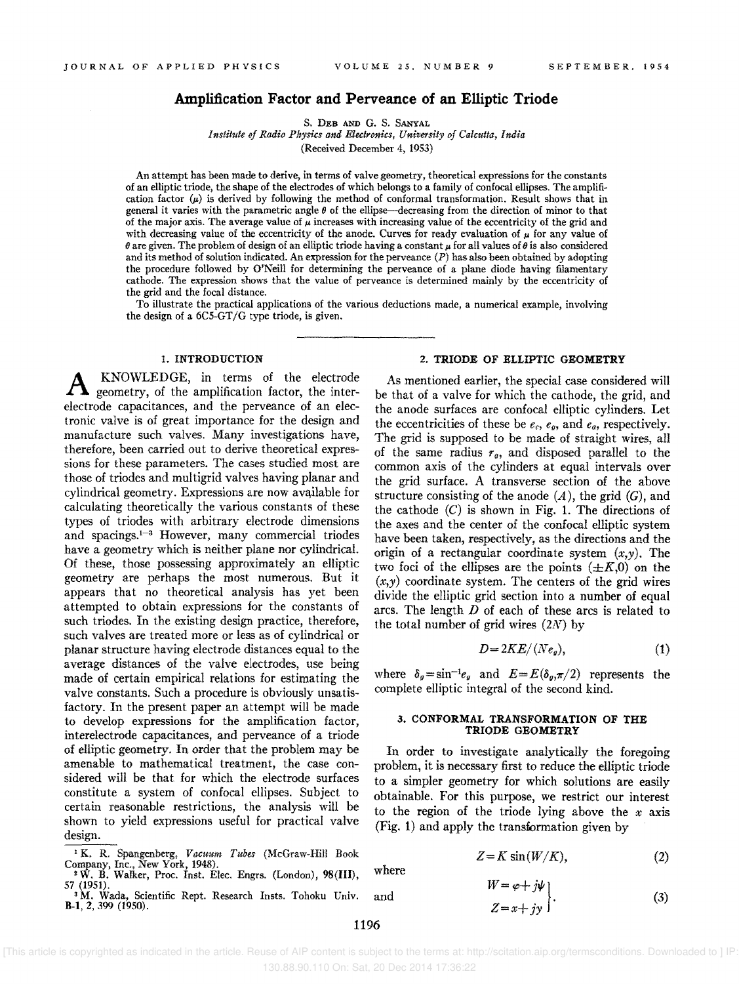# **Amplification Factor and Perveance of an Elliptic Triode**

S. DEB AND G. S. SANYAL

*Institute of Radio Physics and Electronics, University of Calcutta, India* (Received December 4, 1953)

An attempt has been made to derive, in terms of valve geometry, theoretical expressions for the constants of an elliptic triode, the shape of the electrodes of which belongs to a family of confocal ellipses. The amplification factor  $(\mu)$  is derived by following the method of conformal transformation. Result shows that in general it varies with the parametric angle *0* of the ellipse-decreasing from the direction of minor to that of the major axis. The average value of  $\mu$  increases with increasing value of the eccentricity of the grid and with decreasing value of the eccentricity of the anode. Curves for ready evaluation of  $\mu$  for any value of  $\theta$  are given. The problem of design of an elliptic triode having a constant  $\mu$  for all values of  $\theta$  is also considered and its method of solution indicated. An expression for the perveance  $(P)$  has also been obtained by adopting the procedure followed by O'Neill for determining the perveance of a plane diode having filamentary cathode. The expression shows that the value of perveance is determined mainly by the eccentricity of the grid and the focal distance.

To illustrate the practical applications of the various deductions made, a numerical example, involving the design of a 6C5-GT/G type triode, is given.

### 1. INTRODUCTION

A KNOWLEDGE, in terms of the electrode geometry, of the amplification factor, the interelectrode capacitances, and the perveance of an electronic valve is of great importance for the design and manufacture such valves. Many investigations have, therefore, been carried out to derive theoretical expressions for these parameters. The cases studied most are those of triodes and multigrid valves having planar and cylindrical geometry. Expressions are now available for calculating theoretically the various constants of these types of triodes with arbitrary electrode dimensions and spacings.<sup>1-3</sup> However, many commercial triodes have a geometry which is neither plane nor cylindricaL Of these, those possessing approximately an elliptic geometry are perhaps the most numerous. But it appears that no theoretical analysis has yet been attempted to obtain expressions for the constants of such triodes. In the existing design practice, therefore, such valves are treated more or less as of cylindrical or planar structure having electrode distances equal to the average distances of the valve electrodes, use being made of certain empirical relations for estimating the valve constants. Such a procedure is obviously unsatisfactory. In the present paper an attempt will be made to develop expressions for the amplification factor, interelectrode capacitances, and perveance of a triode of elliptic geometry. In order that the problem may be amenable to mathematical treatment, the case considered will be that for which the electrode surfaces constitute a system of confocal ellipses. Subject to certain reasonable restrictions, the analysis will be shown to yield expressions useful for practical valve design.

<sup>1</sup>K. R. Spangenberg, *Vacuum Tubes* (McGraw-Hill Book Company, Inc., New York, 1948).<br> $\frac{1}{2}$  W, B, Welkey, Pros. Let Flee Franc (Lordon),  $\frac{1}{2}$  (EVII) where <sup>2</sup>W. B. Walker, Proc. Inst. Elec. Engrs. (London), 98(III),

57 (1951). <sup>3</sup>M, Wada, Scientific Rept. Research Insts. Tohoku Univ. and

B-1, 2, 399 (1950).

### 2. TRIODE OF ELLIPTIC GEOMETRY

As mentioned earlier, the special case considered will be that of a valve for which the cathode, the grid, and the anode surfaces are confocal elliptic cylinders. Let the eccentricities of these be  $e_c$ ,  $e_g$ , and  $e_a$ , respectively. The grid is supposed to be made of straight wires, all of the same radius  $r_g$ , and disposed parallel to the common axis of the cylinders at equal intervals over the grid surface. A transverse section of the above structure consisting of the anode  $(A)$ , the grid  $(G)$ , and the cathode  $(C)$  is shown in Fig. 1. The directions of the axes and the center of the confocal elliptic system have been taken, respectively, as the directions and the origin of a rectangular coordinate system  $(x,y)$ . The two foci of the ellipses are the points  $(\pm K,0)$  on the  $(x,y)$  coordinate system. The centers of the grid wires divide the elliptic grid section into a number of equal arcs. The length  $D$  of each of these arcs is related to the total number of grid wires *(2N)* by

$$
D=2KE/(Ne_g),\tag{1}
$$

where  $\delta_g = \sin^{-1} e_g$  and  $E = E(\delta_g, \pi/2)$  represents the complete elliptic integral of the second kind.

#### 3. CONFORMAL TRANSFORMATION OF THE TRIODE GEOMETRY

In order to investigate analytically the foregoing problem, it is necessary first to reduce the elliptic triode to a simpler geometry for which solutions are easily obtainable. For this purpose, we restrict our interest to the region of the triode lying above the *x* axis  $(Fig. 1)$  and apply the transformation given by

$$
Z = K \sin(W/K), \tag{2}
$$

$$
\begin{cases}\nW = \varphi + j\Psi \\
Z = x + jy\n\end{cases} \tag{3}
$$

1196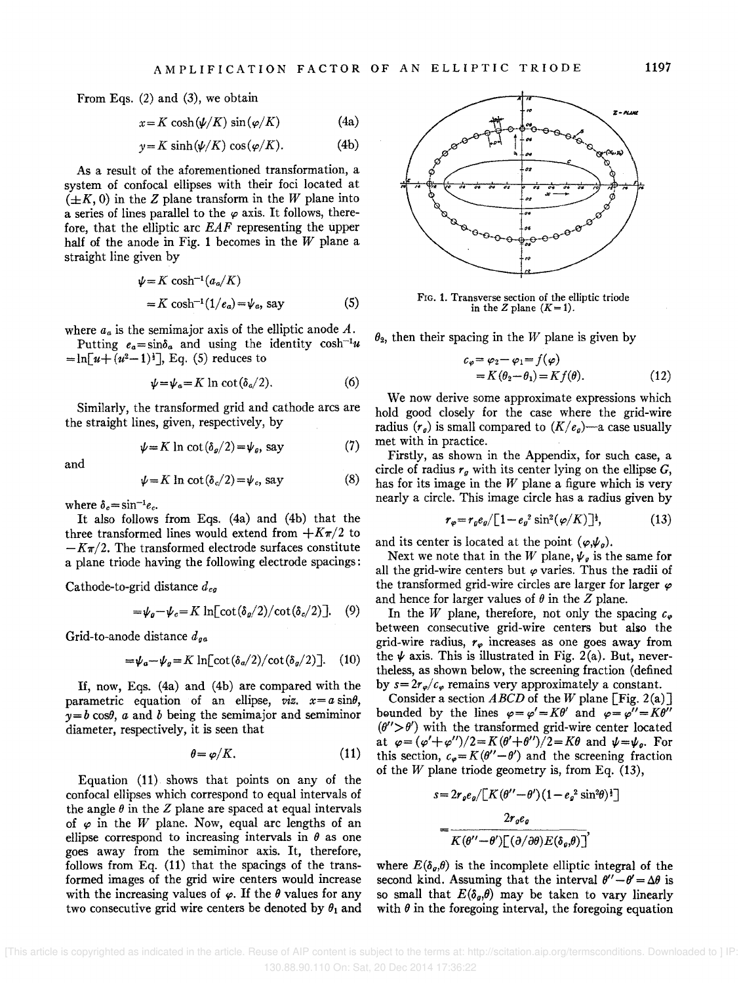From Eqs. (2) and (3), we obtain

$$
x = K \cosh(\psi/K) \sin(\varphi/K) \tag{4a}
$$

$$
y = K \sinh(\psi/K) \cos(\varphi/K). \tag{4b}
$$

As a result of the aforementioned transformation, a system of confocal ellipses with their foci located at  $(\pm K, 0)$  in the *Z* plane transform in the *W* plane into a series of lines parallel to the  $\varphi$  axis. It follows, therefore, that the elliptic arc  $EAF$  representing the upper half of the anode in Fig. 1 becomes in the  $W$  plane a straight line given by

$$
\psi = K \cosh^{-1}(a_{\alpha}/K)
$$
  
=  $K \cosh^{-1}(1/e_{\alpha}) = \psi_{\alpha}$ , say (5)

where  $a_a$  is the semimajor axis of the elliptic anode A.

Putting  $e_a = \sin \delta_a$  and using the identity  $\cosh^{-1} u$  $=\ln[u+(u^2-1)^{\frac{1}{2}}],$  Eq. (5) reduces to

$$
\psi = \psi_a = K \ln \cot(\delta_a/2). \tag{6}
$$

Similarly, the transformed grid and cathode arcs are the straight lines, given, respectively, by

$$
\psi = K \ln \cot(\delta_g/2) = \psi_g, \text{ say} \tag{7}
$$

and

$$
\psi = K \ln \cot(\delta_c/2) = \psi_c, \text{ say} \tag{8}
$$

where  $\delta_e = \sin^{-1}e_c$ .

It also follows from Eqs. (4a) and (4b) that the three transformed lines would extend from  $+K\pi/2$  to  $-K\pi/2$ . The transformed electrode surfaces constitute a plane triode having the following electrode spacings:

Cathode-to-grid distance  $d_{cg}$ 

$$
= \psi_{\mathfrak{g}} - \psi_{\mathfrak{e}} = K \ln[\cot(\delta_{\mathfrak{g}}/2)/\cot(\delta_{\mathfrak{e}}/2)]. \quad (9)
$$

Grid-to-anode distance d*ga* 

$$
=\psi_a-\psi_g=K\ln[\cot(\delta_a/2)/\cot(\delta_g/2)].\quad (10)
$$

If, now, Eqs. (4a) and (4b) are compared with the parametric equation of an ellipse,  $viz.$   $x=a \sin\theta$ ,  $y=b \cos\theta$ , a and b being the semimajor and semiminor diameter, respectively, it is seen that

$$
\theta = \varphi/K. \tag{11}
$$

Equation (11) shows that points on any of the confocal ellipses which correspond to equal intervals of the angle  $\theta$  in the  $Z$  plane are spaced at equal intervals of  $\varphi$  in the *W* plane. Now, equal arc lengths of an ellipse correspond to increasing intervals in  $\theta$  as one goes away from the semiminor axis. It, therefore, follows from Eq. (11) that the spacings of the transformed images of the grid wire centers would increase with the increasing values of  $\varphi$ . If the  $\theta$  values for any two consecutive grid wire centers be denoted by  $\theta_1$  and



FIG. 1. Transverse section of the elliptic triode<br>in the Z plane  $(K=1)$ .

 $\theta_2$ , then their spacing in the W plane is given by

$$
c_{\varphi} = \varphi_2 - \varphi_1 = f(\varphi)
$$
  
=  $K(\theta_2 - \theta_1) = Kf(\theta)$ . (12)

We now derive some approximate expressions which hold good closely for the case where the grid-wire radius  $(r_a)$  is small compared to  $(K/e_a)$ —a case usually met with in practice.

Firstly, as shown in the Appendix, for such case, a circle of radius  $r_g$  with its center lying on the ellipse  $G$ , has for its image in the *W* plane a figure which is very nearly a circle. This image circle has a radius given by

$$
r_{\varphi} = r_{g}e_{g}/[1 - e_{g}^{2}\sin^{2}(\varphi/K)]^{4}, \qquad (13)
$$

and its center is located at the point  $(\varphi, \psi_g)$ .

Next we note that in the *W* plane,  $\psi_g$  is the same for all the grid-wire centers but  $\varphi$  varies. Thus the radii of the transformed grid-wire circles are larger for larger  $\varphi$ and hence for larger values of  $\theta$  in the  $Z$  plane.

In the *W* plane, therefore, not only the spacing  $c_{\varphi}$ between consecutive grid-wire centers but alio the grid-wire radius,  $r_{\varphi}$  increases as one goes away from the  $\psi$  axis. This is illustrated in Fig. 2(a). But, nevertheless, as shown below, the screening fraction (defined by  $s = 2r_{\varphi}/c_{\varphi}$  remains very approximately a constant.

Consider a section  $ABCD$  of the W plane [Fig. 2(a)] bounded by the lines  $\varphi = \varphi' = K\theta'$  and  $\varphi = \varphi'' = K\theta''$  $(\theta' > \theta')$  with the transformed grid-wire center located at  $\varphi = (\varphi' + \varphi'')/2 = K(\theta' + \theta'')/2 = K\theta$  and  $\psi = \psi_g$ . For this section,  $c_{\varphi} = K(\theta'' - \theta')$  and the screening fraction of the  $W$  plane triode geometry is, from Eq. (13),

$$
s = 2r_{\theta}e_{\theta}/[K(\theta'' - \theta')(1 - e_{\theta}^2 \sin^2\theta)^{\frac{1}{2}}]
$$

$$
= \frac{2r_{\theta}e_{\theta}}{K(\theta'' - \theta')[(\theta/\partial\theta)E(\delta_{\theta}, \theta)]},
$$

where  $E(\delta_{q},\theta)$  is the incomplete elliptic integral of the second kind. Assuming that the interval  $\theta'' - \theta' = \Delta \theta$  is so small that  $E(\delta_{g},\theta)$  may be taken to vary linearly with  $\theta$  in the foregoing interval, the foregoing equation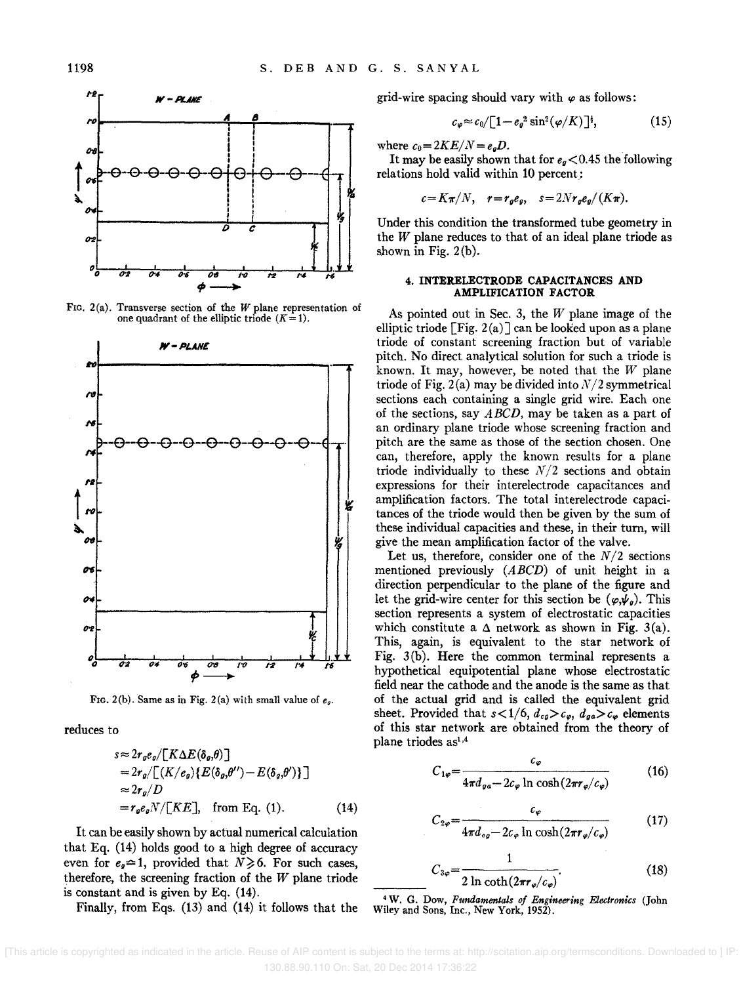

FIG. 2(a). Transverse section of the *W* plane representation of one quadrant of the elliptic triode  $(K = 1)$ .



FIG. 2(b). Same as in Fig. 2(a) with small value of *ea.* 

reduces to

$$
s \approx 2r_{\sigma}e_{\sigma}/[K\Delta E(\delta_{\sigma}, \theta)]
$$
  
= 2r\_{\sigma}/[K/\epsilon\_{\sigma}){E(\delta\_{\sigma}, \theta')} - E(\delta\_{\sigma}, \theta')}]  
\approx 2r\_{\sigma}/D  
= r\_{\sigma}e\_{\sigma}N/[KE], from Eq. (1). (14)

It can be easily shown by actual numerical calculation that Eq. (14) holds good to a high degree of accuracy even for  $e_q \approx 1$ , provided that  $N \ge 6$ . For such cases, therefore, the screening fraction of the *W* plane triode is constant and is given by Eq. (14).

Finally, from Eqs. (13) and (14) it follows that the

grid-wire spacing should vary with  $\varphi$  as follows:

$$
c_{\varphi} \approx c_0 / \left[1 - e_q^2 \sin^2(\varphi/K)\right]^{\frac{1}{2}},\tag{15}
$$

where  $c_0 = 2KE/N = e_oD$ .

It may be easily shown that for  $e_g < 0.45$  the following relations hold valid within 10 percent:

$$
c = K\pi/N, \quad r = r_{g}e_{g}, \quad s = 2Nr_{g}e_{g}/(K\pi).
$$

Under this condition the transformed tube geometry in the *W* plane reduces to that of an ideal plane triode as shown in Fig. 2(b).

#### 4. INTERELECTRODE CAPACITANCES AND AMPLIFICATION FACTOR

As pointed out in Sec. 3, the  $W$  plane image of the elliptic triode  $\lceil$  Fig. 2(a)  $\rceil$  can be looked upon as a plane triode of constant screening fraction but of variable pitch. No direct analytical solution for such a triode is known. It may, however, be noted that the *W* plane triode of Fig. 2(a) may be divided into  $N/2$  symmetrical sections each containing a single grid wire. Each one of the sections, say *ABCD,* may be taken as a part of an ordinary plane triode whose screening fraction and pitch are the same as those of the section chosen. One can, therefore, apply the known results for a plane triode individually to these  $N/2$  sections and obtain expressions for their interelectrode capacitances and amplification factors. The total interelectrode capacitances of the triode would then be given by the sum of these individual capacities and these, in their turn, will give the mean amplification factor of the valve.

Let us, therefore, consider one of the  $N/2$  sections mentioned previously *(A BCD)* of unit height in a direction perpendicular to the plane of the figure and let the grid-wire center for this section be  $(\varphi, \psi_g)$ . This section represents a system of electrostatic capacities which constitute a  $\Delta$  network as shown in Fig. 3(a). This, again, is equivalent to the star network of Fig. 3(b). Here the common terminal represents a hypothetical equipotential plane whose electrostatic field near the cathode and the anode is the same as that of the actual grid and is called the equivalent grid sheet. Provided that  $s < 1/6$ ,  $d_{cg} > c_{\varphi}$ ,  $d_{ga} > c_{\varphi}$  elements of this star network are obtained from the theory of plane triodes as<sup>1,4</sup>

$$
C_{1\varphi} = \frac{\epsilon_{\varphi}}{4\pi d_{\varphi a} - 2c_{\varphi} \ln \cosh(2\pi r_{\varphi}/c_{\varphi})}
$$
(16)

$$
C_{2\varphi} = \frac{c_{\varphi}}{4\pi d_{cg} - 2c_{\varphi} \ln \cosh(2\pi r_{\varphi}/c_{\varphi})}
$$
(17)

$$
C_{3\varphi} = \frac{1}{2 \ln \coth(2\pi r_{\varphi}/c_{\varphi})}.
$$
 (18)

<sup>4</sup>w. G. Dow, *Fundamentals of Engineering Electronics* (John Wiley and Sons, Inc., New York, 1952).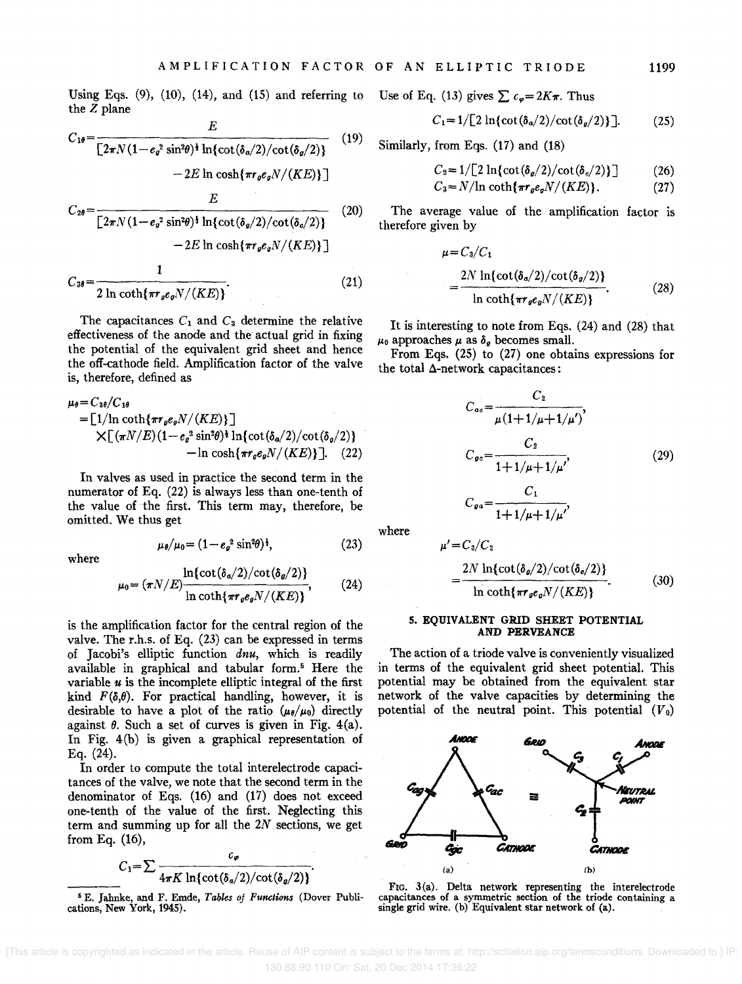Using Eqs.  $(9)$ ,  $(10)$ ,  $(14)$ , and  $(15)$  and referring to the *Z* plane

$$
C_{1\theta} = \frac{E}{\left[2\pi N(1 - e_{\theta}^2 \sin^2\theta)^{\frac{1}{2}} \ln\left(\cot(\delta_a/2)/\cot(\delta_a/2)\right)\right]}
$$
(19)  
-2E ln cosh{ $\pi r_{\theta}e_{\theta}N/(KE)$ ]  

$$
C_{2\theta} = \frac{E}{\left[2\pi N(1 - e_{\theta}^2 \sin^2\theta)^{\frac{1}{2}} \ln\left(\cot(\delta_a/2)/\cot(\delta_a/2)\right)\right]}
$$
(20)  
-2E ln cosh{ $\pi r_{\theta}e_{\theta}N/(KE)$ }}  

$$
C_{3\theta} = \frac{1}{2 \ln \coth{\pi r_{\theta}e_{\theta}N/(KE)}}
$$
(21)

The capacitances  $C_1$  and  $C_3$  determine the relative effectiveness of the anode and the actual grid in fixing the potential of the equivalent grid sheet and hence the off-cathode field. Amplification factor of the valve is, therefore, defined as

$$
\mu_{\theta} = C_{3\theta}/C_{1\theta}
$$
  
=  $\left[1/\ln \coth\{\pi r_{\theta}e_{\theta}N/(KE)\}\right]$   

$$
\times \left[\left(\pi N/E\right)(1-e_{\theta}^2 \sin^2\theta)^{\frac{1}{2}} \ln\left\{\cot\left(\delta_{\theta}/2\right)/\cot\left(\delta_{\theta}/2\right)\right\}\right]
$$
  
-  $\ln \cosh\{\pi r_{\theta}e_{\theta}N/(KE)\}\right]$ . (22)

In valves as used in practice the second term in the numerator of Eq. (22) is always less than one-tenth of the value of the first. This term may, therefore, be omitted. We thus get

 $\mu_{\theta}/\mu_0 = (1 - e_a^2 \sin^2\theta)^{\frac{1}{2}},$ 

where

$$
\mu_0 = (\pi N/E) \frac{\ln\{\cot(\delta_a/2)/\cot(\delta_a/2)\}}{\ln \coth\{\pi r_g e_g N/(KE)\}},
$$
 (24)

is the amplification factor for the central region of the valve. The r.h.s. of Eq. (23) can be expressed in terms of Jacobi's elliptic function *dnu,* which is readily available in graphical and tabular form.<sup>5</sup> Here the variable *u* is the incomplete elliptic integral of the first kind  $F(\delta,\theta)$ . For practical handling, however, it is desirable to have a plot of the ratio  $(\mu_{\theta}/\mu_0)$  directly against  $\theta$ . Such a set of curves is given in Fig. 4(a). In Fig. 4(b) is given a graphical representation of Eq. (24).

In order to compute the total interelectrode capacitances of the valve, we note that the second term in the denominator of Eqs. (16) and (17) does not exceed one-tenth of the value of the first. Neglecting this term and summing up for all the *2N* sections, we get from Eq. (16),

$$
C_1 = \sum \frac{c_{\varphi}}{4\pi K \ln\{\cot(\delta_{\alpha}/2)/\cot(\delta_{\varphi}/2)\}}.
$$

6 E. Jahnke, and F. Emde, *Tables oj Functions* (Dover Publications, New York, 1945).

Use of Eq. (13) gives  $\sum c_{\varphi}=2K\pi$ . Thus

$$
C_1 = 1/[2\ln\{\cot(\delta_a/2)/\cot(\delta_a/2)\}].
$$
 (25)

Similarly, from Eqs. (17) and (18)

$$
C_2 = 1/[2 \ln\{\cot(\delta_g/2)/\cot(\delta_c/2)\}]
$$
 (26)

$$
C_3 = N/\ln \coth\{\pi r_g e_g N/(KE)\}.
$$
 (27)

The average value of the amplification factor is therefore given by

$$
\mu = C_3/C_1
$$
  
= 
$$
\frac{2N \ln{\cot(\delta_a/2)}/\cot(\delta_g/2)}{\ln \coth{\pi r_g e_g N}/(KE)}
$$
 (28)

It is interesting to note from Eqs. (24) and (28) that  $\mu_0$  approaches  $\mu$  as  $\delta_g$  becomes small.

From Eqs. (25) to (27) one obtains expressions for the total  $\Delta$ -network capacitances:

$$
C_{ae} = \frac{C_2}{\mu (1 + 1/\mu + 1/\mu')},
$$
  
\n
$$
C_{ge} = \frac{C_2}{1 + 1/\mu + 1/\mu'},
$$
\n
$$
C_{ga} = \frac{C_1}{1 + 1/\mu + 1/\mu'},
$$
\n(29)

where

 $\mu'$  =  $C_3/C_2$ 

(23)

$$
=\frac{2N\ln\{\cot(\delta_{\mathfrak{g}}/2)/\cot(\delta_{\mathfrak{e}}/2)\}}{\ln\coth\{\pi r_{\mathfrak{g}}e_{\mathfrak{g}}N/(KE)\}}.\tag{30}
$$

#### 5. **EQUIVALENT GRID SHEET POTENTIAL AND PERVEANCE**

The action of a triode valve is conveniently visualized in terms of the equivalent grid sheet potential. This potential may be obtained from the equivalent star network of the valve capacities by determining the potential of the neutral point. This potential (V*o)* 



Fro. 3(a). Delta network representing the interelectrode capacitances of a symmetric section of the triode containing a single grid wire. (b) Equivalent star network of (a).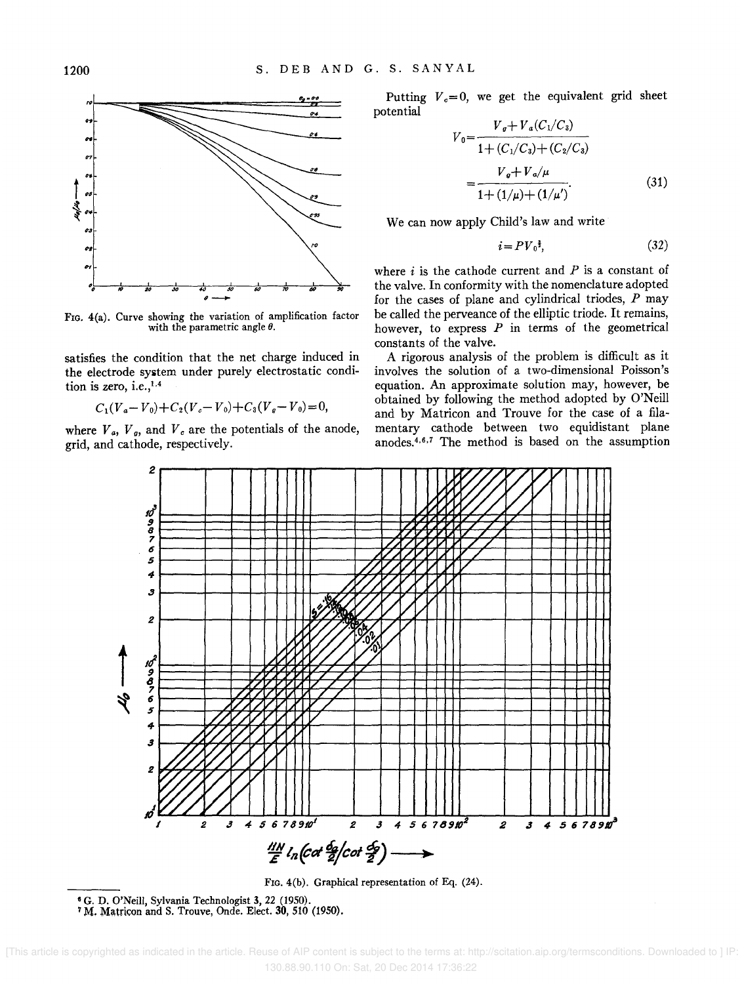

FIG. 4(a). Curve showing the variation of amplification factor with the parametric angle  $\theta$ .

satisfies the condition that the net charge induced in the electrode system under purely electrostatic condition is zero, i.e.,<sup>1,4</sup>

$$
C_1(V_a-V_0)+C_2(V_c-V_0)+C_3(V_a-V_0)=0,
$$

where  $V_a$ ,  $V_g$ , and  $V_c$  are the potentials of the anode, grid, and cathode, respectively.

Putting 
$$
V_c = 0
$$
, we get the equivalent grid sheet potential

$$
V_0 = \frac{V_g + V_a(C_1/C_3)}{1 + (C_1/C_3) + (C_2/C_3)}
$$
  
= 
$$
\frac{V_g + V_a/\mu}{1 + (1/\mu) + (1/\mu')}
$$
 (31)

We can now apply Child's law and write

$$
i = PV_0^3,\tag{32}
$$

where  $i$  is the cathode current and  $P$  is a constant of the valve. In conformity with the nomenclature adopted for the cases of plane and cylindrical triodes, P may be called the perveance of the elliptic triode. It remains, however, to express *P* in terms of the geometrical constants of the valve.

A rigorous analysis of the problem is difficult as it involves the solution of a two-dimensional Poisson's equation. An approximate solution may, however, be obtained by following the method adopted by O'Neill and by Matricon and Trouve for the case of a filamentary cathode between two equidistant plane anodes.4. 6,7 The method is based on the assumption



FIG.4(b). Graphical representation of Eq. (24).

<sup>6</sup> G. D. O'Neill, Sylvania Technologist 3, 22 (1950).<br><sup>7</sup> M. Matricon and S. Trouve, Onde. Elect. 30, 510 (1950).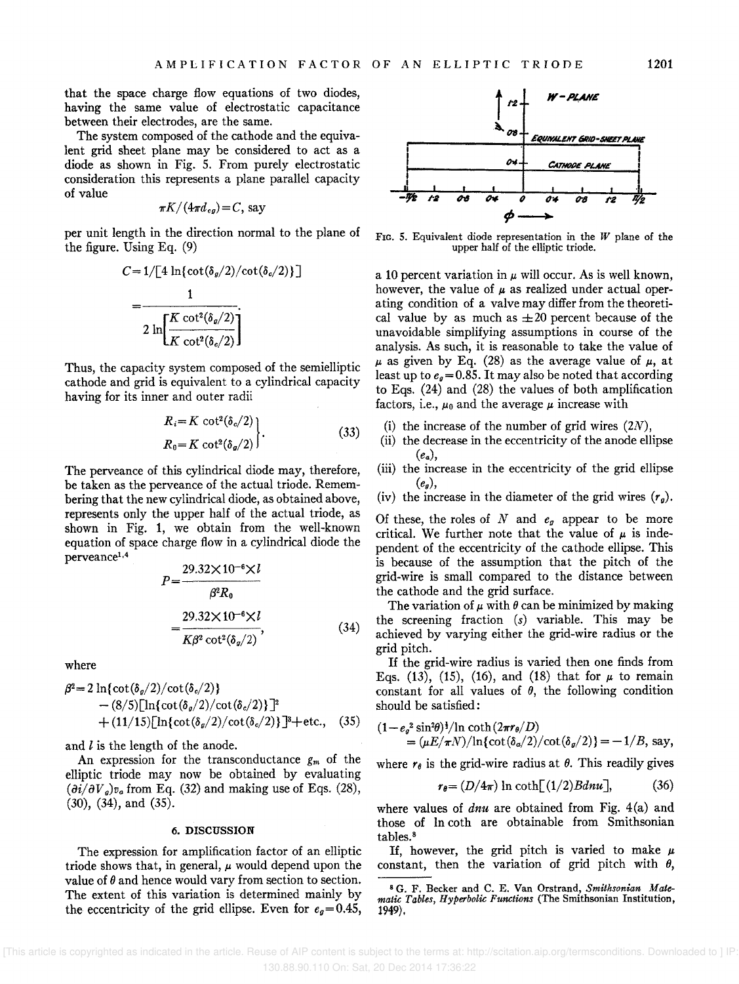that the space charge flow equations of two diodes, having the same value of electrostatic capacitance between their electrodes, are the same.

The system composed of the cathode and the equivalent grid sheet plane may be considered to act as a diode as shown in Fig. S. From purely electrostatic consideration this represents a plane parallel capacity of value

$$
\pi K/(4\pi d_{cg}) = C, \text{ say}
$$

per unit length in the direction normal to the plane of the figure. Using Eq. (9)

$$
C = 1/[4 \ln\{\cot(\delta_g/2)/\cot(\delta_c/2)\}]
$$
  
= 
$$
\frac{1}{2 \ln\left[\frac{K \cot^2(\delta_g/2)}{K \cot^2(\delta_c/2)}\right]}
$$

Thus, the capacity system composed of the semielliptic cathode and grid is equivalent to a cylindrical capacity having for its inner and outer radii

$$
R_i = K \cot^2(\delta_c/2)
$$
  
\n
$$
R_0 = K \cot^2(\delta_a/2)
$$
\n(33)

The perveance of this cylindrical diode may, therefore, be taken as the perveance of the actual triode. Remembering that the new cylindrical diode, as obtained above, represents only the upper half of the actual triode, as shown in Fig. 1, we obtain from the well-known equation of space charge flow in a cylindrical diode the perveance<sup>1</sup> • 4

$$
P = \frac{29.32 \times 10^{-6} \times l}{\beta^2 R_0}
$$
  
= 
$$
\frac{29.32 \times 10^{-6} \times l}{K \beta^2 \cot^2(\delta_g/2)},
$$
 (34)

where

$$
\beta^{2}=2 \ln\{\cot(\delta_{\theta}/2)/\cot(\delta_{\theta}/2)\}\
$$
  
-(8/5)[\ln\{\cot(\delta\_{\theta}/2)/\cot(\delta\_{\theta}/2)\}]^{2}  
+(11/15)[\ln\{\cot(\delta\_{\theta}/2)/\cot(\delta\_{\theta}/2)\}]^{3}+\text{etc.}, (35)

and  $l$  is the length of the anode.

An expression for the transconductance *gm* of the elliptic triode may now be obtained by evaluating  $(\partial i/\partial V_g)v_g$  from Eq. (32) and making use of Eqs. (28), (30), (34), and (35).

# 6. DISCUSSION

The expression for amplification factor of an elliptic triode shows that, in general,  $\mu$  would depend upon the value of  $\theta$  and hence would vary from section to section. The extent of this variation is determined mainly by the eccentricity of the grid ellipse. Even for  $e_g = 0.45$ ,



FIG. 5. Equivalent diode representation in the *W* plane of the upper half of the elliptic triode.

a 10 percent variation in  $\mu$  will occur. As is well known, however, the value of  $\mu$  as realized under actual operating condition of a valve may differ from the theoretical value by as much as  $\pm 20$  percent because of the unavoidable simplifying assumptions in course of the analysis. As such, it is reasonable to take the value of  $\mu$  as given by Eq. (28) as the average value of  $\mu$ , at least up to  $e_g = 0.85$ . It may also be noted that according to Eqs. (24) and (28) the values of both amplification factors, i.e.,  $\mu_0$  and the average  $\mu$  increase with

- (i) the increase of the number of grid wires *(2N),*
- (ii) the decrease in the eccentricity of the anode ellipse *(ea),*
- (iii) the increase in the eccentricity of the grid ellipse  $(e_{q})$ ,
- (iv) the increase in the diameter of the grid wires  $(r_g)$ .

Of these, the roles of  $N$  and  $e_g$  appear to be more critical. We further note that the value of  $\mu$  is independent of the eccentricity of the cathode ellipse. This is because of the assumption that the pitch of the grid-wire is small compared to the distance between the cathode and the grid surface.

The variation of  $\mu$  with  $\theta$  can be minimized by making the screening fraction (s) variable. This may be achieved by varying either the grid-wire radius or the grid pitch.

If the grid-wire radius is varied then one finds from Eqs. (13), (15), (16), and (18) that for  $\mu$  to remain constant for all values of  $\theta$ , the following condition should be satisfied:

$$
(1 - e_{\theta}^2 \sin^2 \theta)^{\frac{1}{2}} / \ln \coth(2\pi r_{\theta}/D)
$$
  
=  $(\mu E/\pi N)/\ln{\cot(\delta_{\theta}/2)}/\cot(\delta_{\theta}/2) = -1/B$ , say,

where  $r_{\theta}$  is the grid-wire radius at  $\theta$ . This readily gives

$$
r_{\theta} = (D/4\pi) \ln \coth[(1/2)Bdnu], \tag{36}
$$

where values of *dnu* are obtained from Fig. 4(a) and those of In coth are obtainable from Smithsonian tables.<sup>8</sup>

If, however, the grid pitch is varied to make  $\mu$ constant, then the variation of grid pitch with  $\theta$ ,

<sup>8</sup> G. F. Becker and C. E. Van Orstrand, *Smithsonian Matematic Tables, Hyperbolic Functions* (The Smithsonian Institution, 1949),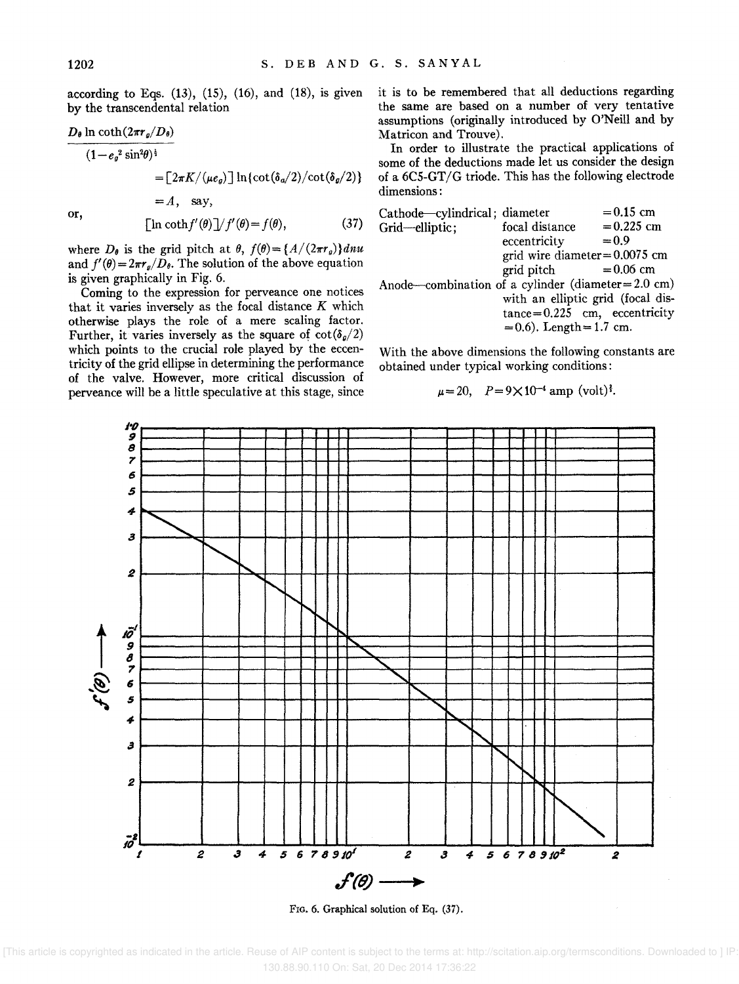according to Eqs.  $(13)$ ,  $(15)$ ,  $(16)$ , and  $(18)$ , is given by the transcendental relation

$$
D_{\theta} \ln \coth(2\pi r_g/D_{\theta})
$$
  
\n
$$
(1 - e_{\theta}^2 \sin^2\theta)^{\frac{1}{2}}
$$
  
\n
$$
= [2\pi K/(\mu e_{\theta})] \ln{\cot(\delta_{\alpha}/2)}/\cot(\delta_{\theta}/2)
$$
  
\n
$$
= A, \text{ say,}
$$

or,

$$
\left[\ln\coth f'(\theta)\right]/f'(\theta) = f(\theta),\tag{37}
$$

where  $D_{\theta}$  is the grid pitch at  $\theta$ ,  $f(\theta) = \frac{A}{2\pi r_g}$ and  $f'(\theta) = 2\pi r_a/D_\theta$ . The solution of the above equation is given graphically in Fig. 6.

Coming to the expression for perveance one notices that it varies inversely as the focal distance *K* which otherwise plays the role of a mere scaling factor. Further, it varies inversely as the square of  $cot(\delta_{g}/2)$ which points to the crucial role played by the eccentricity of the grid ellipse in determining the performance of the valve. However, more critical discussion of perveance will be a little speculative at this stage, since it is to be remembered that all deductions regarding the same are based on a number of very tentative assumptions (originally introduced by O'Neill and by Matricon and Trouve).

In order to illustrate the practical applications of some of the deductions made let us consider the design of a 6CS-GT/G triode. This has the following electrode dimensions:

| Cathode-cylindrical; diameter                        |                               | $= 0.15$ cm                      |
|------------------------------------------------------|-------------------------------|----------------------------------|
| Grid-elliptic;                                       | focal distance                | $= 0.225$ cm                     |
|                                                      | eccentricity                  | $= 0.9$                          |
| grid wire diameter= $0.0075$ cm                      |                               |                                  |
|                                                      | $grid$ pitch $= 0.06$ cm      |                                  |
| Anode—combination of a cylinder (diameter= $2.0$ cm) |                               |                                  |
| with an elliptic grid (focal dis-                    |                               |                                  |
|                                                      |                               | $tance = 0.225$ cm, eccentricity |
|                                                      | $= 0.6$ ). Length $= 1.7$ cm. |                                  |

With the above dimensions the following constants are obtained under typical working conditions:

$$
\mu = 20
$$
,  $P = 9 \times 10^{-4}$  amp (volt)<sup>3</sup>.



FIG. 6. Graphical solution of Eq. (37).

 [This article is copyrighted as indicated in the article. Reuse of AIP content is subject to the terms at: http://scitation.aip.org/termsconditions. Downloaded to ] IP: 130.88.90.110 On: Sat, 20 Dec 2014 17:36:22